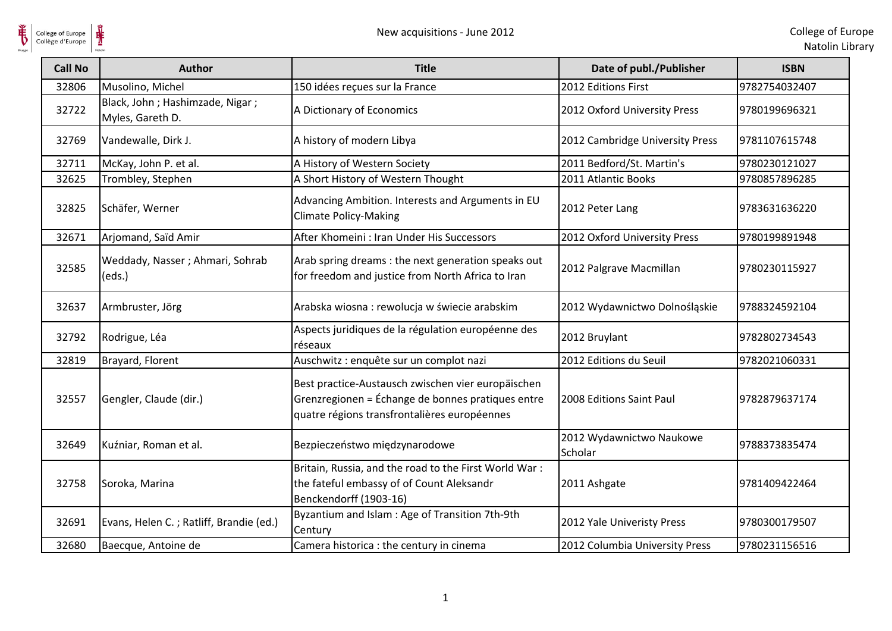**单** 

| <b>Call No</b> | <b>Author</b>                                       | <b>Title</b>                                                                                                                                            | Date of publ./Publisher             | <b>ISBN</b>   |
|----------------|-----------------------------------------------------|---------------------------------------------------------------------------------------------------------------------------------------------------------|-------------------------------------|---------------|
| 32806          | Musolino, Michel                                    | 150 idées reçues sur la France                                                                                                                          | 2012 Editions First                 | 9782754032407 |
| 32722          | Black, John; Hashimzade, Nigar;<br>Myles, Gareth D. | A Dictionary of Economics                                                                                                                               | 2012 Oxford University Press        | 9780199696321 |
| 32769          | Vandewalle, Dirk J.                                 | A history of modern Libya                                                                                                                               | 2012 Cambridge University Press     | 9781107615748 |
| 32711          | McKay, John P. et al.                               | A History of Western Society                                                                                                                            | 2011 Bedford/St. Martin's           | 9780230121027 |
| 32625          | Trombley, Stephen                                   | A Short History of Western Thought                                                                                                                      | 2011 Atlantic Books                 | 9780857896285 |
| 32825          | Schäfer, Werner                                     | Advancing Ambition. Interests and Arguments in EU<br><b>Climate Policy-Making</b>                                                                       | 2012 Peter Lang                     | 9783631636220 |
| 32671          | Arjomand, Saïd Amir                                 | After Khomeini : Iran Under His Successors                                                                                                              | 2012 Oxford University Press        | 9780199891948 |
| 32585          | Weddady, Nasser; Ahmari, Sohrab<br>(eds.)           | Arab spring dreams : the next generation speaks out<br>for freedom and justice from North Africa to Iran                                                | 2012 Palgrave Macmillan             | 9780230115927 |
| 32637          | Armbruster, Jörg                                    | Arabska wiosna : rewolucja w świecie arabskim                                                                                                           | 2012 Wydawnictwo Dolnośląskie       | 9788324592104 |
| 32792          | Rodrigue, Léa                                       | Aspects juridiques de la régulation européenne des<br>réseaux                                                                                           | 2012 Bruylant                       | 9782802734543 |
| 32819          | Brayard, Florent                                    | Auschwitz : enquête sur un complot nazi                                                                                                                 | 2012 Editions du Seuil              | 9782021060331 |
| 32557          | Gengler, Claude (dir.)                              | Best practice-Austausch zwischen vier europäischen<br>Grenzregionen = Échange de bonnes pratiques entre<br>quatre régions transfrontalières européennes | 2008 Editions Saint Paul            | 9782879637174 |
| 32649          | Kuźniar, Roman et al.                               | Bezpieczeństwo międzynarodowe                                                                                                                           | 2012 Wydawnictwo Naukowe<br>Scholar | 9788373835474 |
| 32758          | Soroka, Marina                                      | Britain, Russia, and the road to the First World War:<br>the fateful embassy of of Count Aleksandr<br>Benckendorff (1903-16)                            | 2011 Ashgate                        | 9781409422464 |
| 32691          | Evans, Helen C.; Ratliff, Brandie (ed.)             | Byzantium and Islam : Age of Transition 7th-9th<br>Century                                                                                              | 2012 Yale Univeristy Press          | 9780300179507 |
| 32680          | Baecque, Antoine de                                 | Camera historica : the century in cinema                                                                                                                | 2012 Columbia University Press      | 9780231156516 |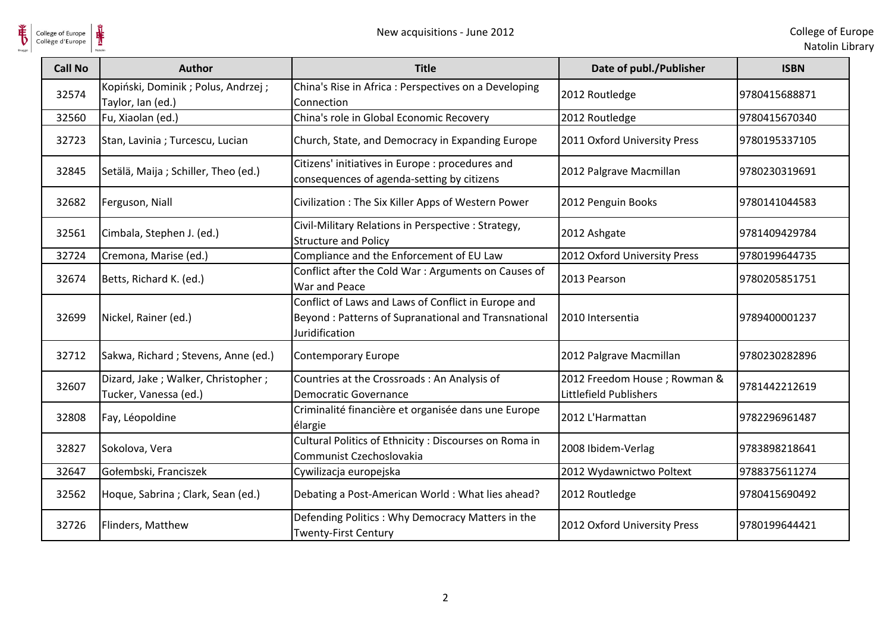

| <b>Call No</b> | <b>Author</b>                                               | <b>Title</b>                                                                                                                 | Date of publ./Publisher                                | <b>ISBN</b>   |
|----------------|-------------------------------------------------------------|------------------------------------------------------------------------------------------------------------------------------|--------------------------------------------------------|---------------|
| 32574          | Kopiński, Dominik; Polus, Andrzej;<br>Taylor, Ian (ed.)     | China's Rise in Africa : Perspectives on a Developing<br>Connection                                                          | 2012 Routledge                                         | 9780415688871 |
| 32560          | Fu, Xiaolan (ed.)                                           | China's role in Global Economic Recovery                                                                                     | 2012 Routledge                                         | 9780415670340 |
| 32723          | Stan, Lavinia; Turcescu, Lucian                             | Church, State, and Democracy in Expanding Europe                                                                             | 2011 Oxford University Press                           | 9780195337105 |
| 32845          | Setälä, Maija ; Schiller, Theo (ed.)                        | Citizens' initiatives in Europe : procedures and<br>consequences of agenda-setting by citizens                               | 2012 Palgrave Macmillan                                | 9780230319691 |
| 32682          | Ferguson, Niall                                             | Civilization: The Six Killer Apps of Western Power                                                                           | 2012 Penguin Books                                     | 9780141044583 |
| 32561          | Cimbala, Stephen J. (ed.)                                   | Civil-Military Relations in Perspective : Strategy,<br><b>Structure and Policy</b>                                           | 2012 Ashgate                                           | 9781409429784 |
| 32724          | Cremona, Marise (ed.)                                       | Compliance and the Enforcement of EU Law                                                                                     | 2012 Oxford University Press                           | 9780199644735 |
| 32674          | Betts, Richard K. (ed.)                                     | Conflict after the Cold War : Arguments on Causes of<br>War and Peace                                                        | 2013 Pearson                                           | 9780205851751 |
| 32699          | Nickel, Rainer (ed.)                                        | Conflict of Laws and Laws of Conflict in Europe and<br>Beyond: Patterns of Supranational and Transnational<br>Juridification | 2010 Intersentia                                       | 9789400001237 |
| 32712          | Sakwa, Richard; Stevens, Anne (ed.)                         | Contemporary Europe                                                                                                          | 2012 Palgrave Macmillan                                | 9780230282896 |
| 32607          | Dizard, Jake; Walker, Christopher;<br>Tucker, Vanessa (ed.) | Countries at the Crossroads : An Analysis of<br>Democratic Governance                                                        | 2012 Freedom House; Rowman &<br>Littlefield Publishers | 9781442212619 |
| 32808          | Fay, Léopoldine                                             | Criminalité financière et organisée dans une Europe<br>élargie                                                               | 2012 L'Harmattan                                       | 9782296961487 |
| 32827          | Sokolova, Vera                                              | Cultural Politics of Ethnicity : Discourses on Roma in<br>Communist Czechoslovakia                                           | 2008 Ibidem-Verlag                                     | 9783898218641 |
| 32647          | Gołembski, Franciszek                                       | Cywilizacja europejska                                                                                                       | 2012 Wydawnictwo Poltext                               | 9788375611274 |
| 32562          | Hoque, Sabrina; Clark, Sean (ed.)                           | Debating a Post-American World : What lies ahead?                                                                            | 2012 Routledge                                         | 9780415690492 |
| 32726          | Flinders, Matthew                                           | Defending Politics: Why Democracy Matters in the<br><b>Twenty-First Century</b>                                              | 2012 Oxford University Press                           | 9780199644421 |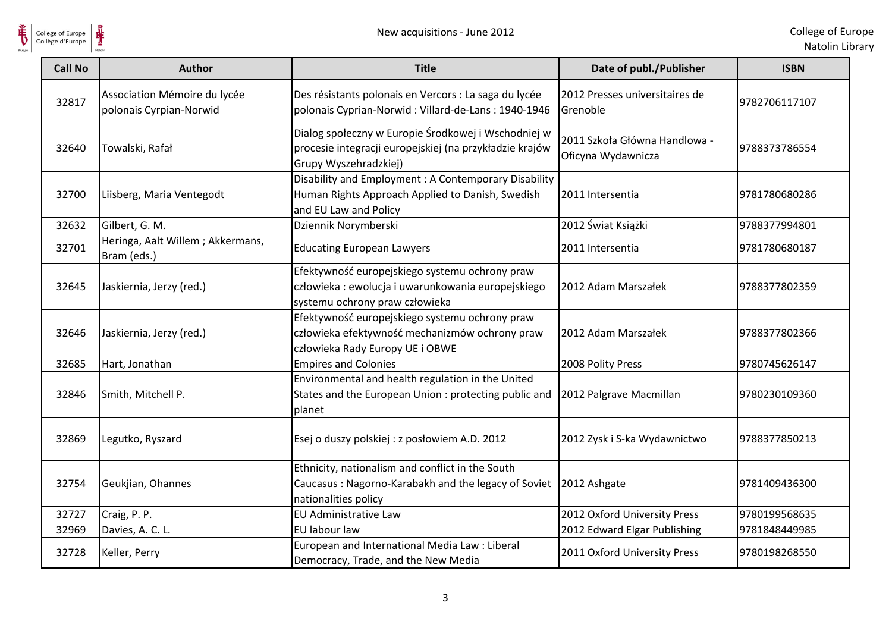

| <b>Call No</b> | <b>Author</b>                                           | <b>Title</b>                                                                                                                            | Date of publ./Publisher                             | <b>ISBN</b>   |
|----------------|---------------------------------------------------------|-----------------------------------------------------------------------------------------------------------------------------------------|-----------------------------------------------------|---------------|
| 32817          | Association Mémoire du lycée<br>polonais Cyrpian-Norwid | Des résistants polonais en Vercors : La saga du lycée<br>polonais Cyprian-Norwid: Villard-de-Lans: 1940-1946                            | 2012 Presses universitaires de<br>Grenoble          | 9782706117107 |
| 32640          | Towalski, Rafał                                         | Dialog społeczny w Europie Środkowej i Wschodniej w<br>procesie integracji europejskiej (na przykładzie krajów<br>Grupy Wyszehradzkiej) | 2011 Szkoła Główna Handlowa -<br>Oficyna Wydawnicza | 9788373786554 |
| 32700          | Liisberg, Maria Ventegodt                               | Disability and Employment: A Contemporary Disability<br>Human Rights Approach Applied to Danish, Swedish<br>and EU Law and Policy       | 2011 Intersentia                                    | 9781780680286 |
| 32632          | Gilbert, G. M.                                          | Dziennik Norymberski                                                                                                                    | 2012 Świat Książki                                  | 9788377994801 |
| 32701          | Heringa, Aalt Willem; Akkermans,<br>Bram (eds.)         | <b>Educating European Lawyers</b>                                                                                                       | 2011 Intersentia                                    | 9781780680187 |
| 32645          | Jaskiernia, Jerzy (red.)                                | Efektywność europejskiego systemu ochrony praw<br>człowieka : ewolucja i uwarunkowania europejskiego<br>systemu ochrony praw człowieka  | 2012 Adam Marszałek                                 | 9788377802359 |
| 32646          | Jaskiernia, Jerzy (red.)                                | Efektywność europejskiego systemu ochrony praw<br>człowieka efektywność mechanizmów ochrony praw<br>człowieka Rady Europy UE i OBWE     | 2012 Adam Marszałek                                 | 9788377802366 |
| 32685          | Hart, Jonathan                                          | <b>Empires and Colonies</b>                                                                                                             | 2008 Polity Press                                   | 9780745626147 |
| 32846          | Smith, Mitchell P.                                      | Environmental and health regulation in the United<br>States and the European Union : protecting public and<br>planet                    | 2012 Palgrave Macmillan                             | 9780230109360 |
| 32869          | Legutko, Ryszard                                        | Esej o duszy polskiej : z posłowiem A.D. 2012                                                                                           | 2012 Zysk i S-ka Wydawnictwo                        | 9788377850213 |
| 32754          | Geukjian, Ohannes                                       | Ethnicity, nationalism and conflict in the South<br>Caucasus: Nagorno-Karabakh and the legacy of Soviet<br>nationalities policy         | 2012 Ashgate                                        | 9781409436300 |
| 32727          | Craig, P. P.                                            | EU Administrative Law                                                                                                                   | 2012 Oxford University Press                        | 9780199568635 |
| 32969          | Davies, A. C. L.                                        | EU labour law                                                                                                                           | 2012 Edward Elgar Publishing                        | 9781848449985 |
| 32728          | Keller, Perry                                           | European and International Media Law : Liberal<br>Democracy, Trade, and the New Media                                                   | 2011 Oxford University Press                        | 9780198268550 |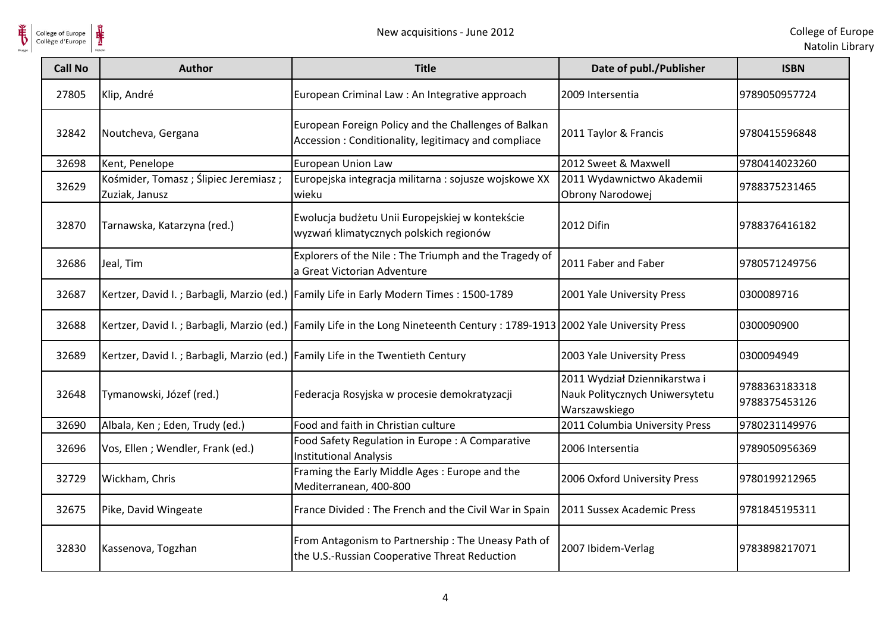

College of Europe

| College of Europe<br>Collège d'Europe |                                                                                | New acquisitions - June 2012                                                                                                    |                                                                                  | College of Eur<br>Natolin Lib  |
|---------------------------------------|--------------------------------------------------------------------------------|---------------------------------------------------------------------------------------------------------------------------------|----------------------------------------------------------------------------------|--------------------------------|
| <b>Call No</b>                        | <b>Author</b>                                                                  | <b>Title</b>                                                                                                                    | Date of publ./Publisher                                                          | <b>ISBN</b>                    |
| 27805                                 | Klip, André                                                                    | European Criminal Law : An Integrative approach                                                                                 | 2009 Intersentia                                                                 | 9789050957724                  |
| 32842                                 | Noutcheva, Gergana                                                             | European Foreign Policy and the Challenges of Balkan<br>Accession: Conditionality, legitimacy and compliace                     | 2011 Taylor & Francis                                                            | 9780415596848                  |
| 32698                                 | Kent, Penelope                                                                 | European Union Law                                                                                                              | 2012 Sweet & Maxwell                                                             | 9780414023260                  |
| 32629                                 | Kośmider, Tomasz; Ślipiec Jeremiasz;<br>Zuziak, Janusz                         | Europejska integracja militarna : sojusze wojskowe XX<br>wieku                                                                  | 2011 Wydawnictwo Akademii<br>Obrony Narodowej                                    | 9788375231465                  |
| 32870                                 | Tarnawska, Katarzyna (red.)                                                    | Ewolucja budżetu Unii Europejskiej w kontekście<br>wyzwań klimatycznych polskich regionów                                       | 2012 Difin                                                                       | 9788376416182                  |
| 32686                                 | Jeal, Tim                                                                      | Explorers of the Nile: The Triumph and the Tragedy of<br>a Great Victorian Adventure                                            | 2011 Faber and Faber                                                             | 9780571249756                  |
| 32687                                 |                                                                                | Kertzer, David I.; Barbagli, Marzio (ed.) Family Life in Early Modern Times: 1500-1789                                          | 2001 Yale University Press                                                       | 0300089716                     |
| 32688                                 |                                                                                | Kertzer, David I.; Barbagli, Marzio (ed.)   Family Life in the Long Nineteenth Century : 1789-1913   2002 Yale University Press |                                                                                  | 0300090900                     |
| 32689                                 | Kertzer, David I.; Barbagli, Marzio (ed.) Family Life in the Twentieth Century |                                                                                                                                 | 2003 Yale University Press                                                       | 0300094949                     |
| 32648                                 | Tymanowski, Józef (red.)                                                       | Federacja Rosyjska w procesie demokratyzacji                                                                                    | 2011 Wydział Dziennikarstwa i<br>Nauk Politycznych Uniwersytetu<br>Warszawskiego | 9788363183318<br>9788375453126 |
| 32690                                 | Albala, Ken; Eden, Trudy (ed.)                                                 | Food and faith in Christian culture                                                                                             | 2011 Columbia University Press                                                   | 9780231149976                  |
| 32696                                 | Vos, Ellen; Wendler, Frank (ed.)                                               | Food Safety Regulation in Europe: A Comparative<br><b>Institutional Analysis</b>                                                | 2006 Intersentia                                                                 | 9789050956369                  |
| 32729                                 | Wickham, Chris                                                                 | Framing the Early Middle Ages: Europe and the<br>Mediterranean, 400-800                                                         | 2006 Oxford University Press                                                     | 9780199212965                  |
| 32675                                 | Pike, David Wingeate                                                           | France Divided: The French and the Civil War in Spain                                                                           | 2011 Sussex Academic Press                                                       | 9781845195311                  |
| 32830                                 | Kassenova, Togzhan                                                             | From Antagonism to Partnership: The Uneasy Path of<br>the U.S.-Russian Cooperative Threat Reduction                             | 2007 Ibidem-Verlag                                                               | 9783898217071                  |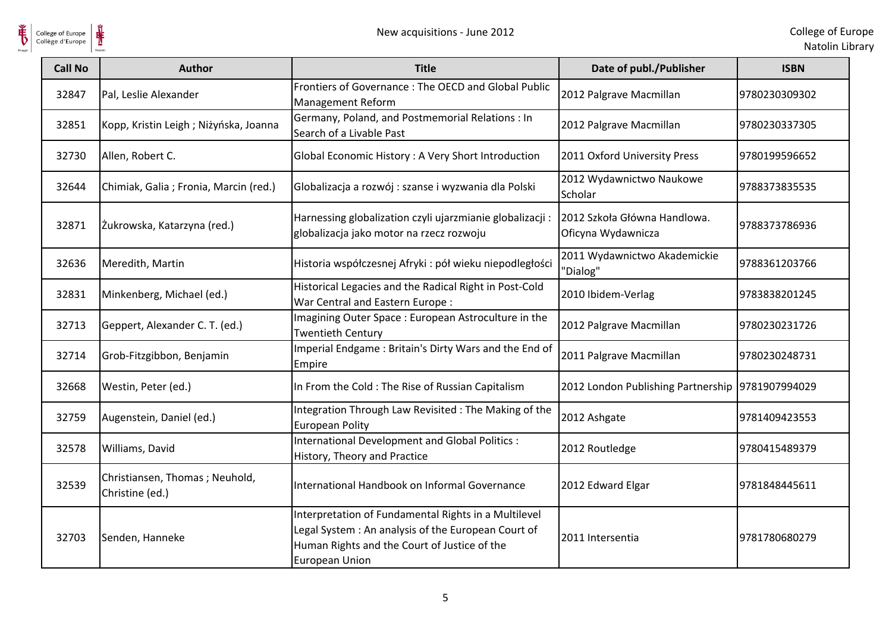

 $\frac{1}{\frac{1}{\sqrt{2}}}\sum_{\text{National}}$ College of Europe

| <b>Call No</b> | <b>Author</b>                                     | <b>Title</b>                                                                                                                                                                        | Date of publ./Publisher                            | <b>ISBN</b>   |
|----------------|---------------------------------------------------|-------------------------------------------------------------------------------------------------------------------------------------------------------------------------------------|----------------------------------------------------|---------------|
| 32847          | Pal, Leslie Alexander                             | Frontiers of Governance: The OECD and Global Public<br><b>Management Reform</b>                                                                                                     | 2012 Palgrave Macmillan                            | 9780230309302 |
| 32851          | Kopp, Kristin Leigh; Niżyńska, Joanna             | Germany, Poland, and Postmemorial Relations : In<br>Search of a Livable Past                                                                                                        | 2012 Palgrave Macmillan                            | 9780230337305 |
| 32730          | Allen, Robert C.                                  | Global Economic History : A Very Short Introduction                                                                                                                                 | 2011 Oxford University Press                       | 9780199596652 |
| 32644          | Chimiak, Galia ; Fronia, Marcin (red.)            | Globalizacja a rozwój : szanse i wyzwania dla Polski                                                                                                                                | 2012 Wydawnictwo Naukowe<br>Scholar                | 9788373835535 |
| 32871          | Żukrowska, Katarzyna (red.)                       | Harnessing globalization czyli ujarzmianie globalizacji:<br>globalizacja jako motor na rzecz rozwoju                                                                                | 2012 Szkoła Główna Handlowa.<br>Oficyna Wydawnicza | 9788373786936 |
| 32636          | Meredith, Martin                                  | Historia współczesnej Afryki : pół wieku niepodległości                                                                                                                             | 2011 Wydawnictwo Akademickie<br>"Dialog"           | 9788361203766 |
| 32831          | Minkenberg, Michael (ed.)                         | Historical Legacies and the Radical Right in Post-Cold<br>War Central and Eastern Europe:                                                                                           | 2010 Ibidem-Verlag                                 | 9783838201245 |
| 32713          | Geppert, Alexander C. T. (ed.)                    | Imagining Outer Space: European Astroculture in the<br><b>Twentieth Century</b>                                                                                                     | 2012 Palgrave Macmillan                            | 9780230231726 |
| 32714          | Grob-Fitzgibbon, Benjamin                         | Imperial Endgame: Britain's Dirty Wars and the End of<br>Empire                                                                                                                     | 2011 Palgrave Macmillan                            | 9780230248731 |
| 32668          | Westin, Peter (ed.)                               | In From the Cold: The Rise of Russian Capitalism                                                                                                                                    | 2012 London Publishing Partnership                 | 9781907994029 |
| 32759          | Augenstein, Daniel (ed.)                          | Integration Through Law Revisited : The Making of the<br><b>European Polity</b>                                                                                                     | 2012 Ashgate                                       | 9781409423553 |
| 32578          | Williams, David                                   | International Development and Global Politics :<br>History, Theory and Practice                                                                                                     | 2012 Routledge                                     | 9780415489379 |
| 32539          | Christiansen, Thomas; Neuhold,<br>Christine (ed.) | International Handbook on Informal Governance                                                                                                                                       | 2012 Edward Elgar                                  | 9781848445611 |
| 32703          | Senden, Hanneke                                   | Interpretation of Fundamental Rights in a Multilevel<br>Legal System: An analysis of the European Court of<br>Human Rights and the Court of Justice of the<br><b>European Union</b> | 2011 Intersentia                                   | 9781780680279 |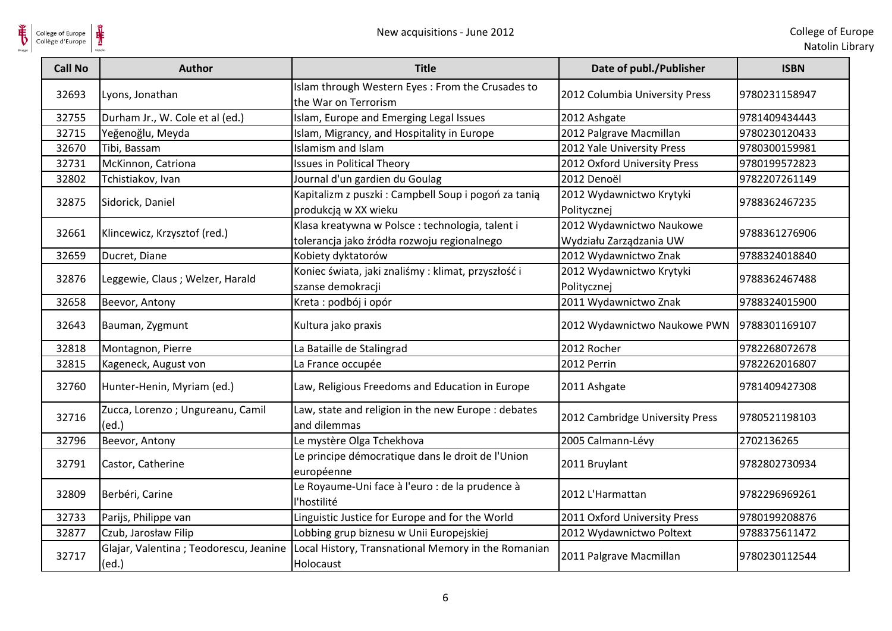

| <b>Call No</b> | <b>Author</b>                                   | <b>Title</b>                                                                                    | Date of publ./Publisher                             | <b>ISBN</b>   |
|----------------|-------------------------------------------------|-------------------------------------------------------------------------------------------------|-----------------------------------------------------|---------------|
| 32693          | Lyons, Jonathan                                 | Islam through Western Eyes: From the Crusades to<br>the War on Terrorism                        | 2012 Columbia University Press                      | 9780231158947 |
| 32755          | Durham Jr., W. Cole et al (ed.)                 | Islam, Europe and Emerging Legal Issues                                                         | 2012 Ashgate                                        | 9781409434443 |
| 32715          | Yeğenoğlu, Meyda                                | Islam, Migrancy, and Hospitality in Europe                                                      | 2012 Palgrave Macmillan                             | 9780230120433 |
| 32670          | Tibi, Bassam                                    | Islamism and Islam                                                                              | 2012 Yale University Press                          | 9780300159981 |
| 32731          | McKinnon, Catriona                              | <b>Issues in Political Theory</b>                                                               | 2012 Oxford University Press                        | 9780199572823 |
| 32802          | Tchistiakov, Ivan                               | Journal d'un gardien du Goulag                                                                  | 2012 Denoël                                         | 9782207261149 |
| 32875          | Sidorick, Daniel                                | Kapitalizm z puszki: Campbell Soup i pogoń za tanią<br>produkcją w XX wieku                     | 2012 Wydawnictwo Krytyki<br>Politycznej             | 9788362467235 |
| 32661          | Klincewicz, Krzysztof (red.)                    | Klasa kreatywna w Polsce : technologia, talent i<br>tolerancja jako źródła rozwoju regionalnego | 2012 Wydawnictwo Naukowe<br>Wydziału Zarządzania UW | 9788361276906 |
| 32659          | Ducret, Diane                                   | Kobiety dyktatorów                                                                              | 2012 Wydawnictwo Znak                               | 9788324018840 |
| 32876          | Leggewie, Claus; Welzer, Harald                 | Koniec świata, jaki znaliśmy: klimat, przyszłość i<br>szanse demokracji                         | 2012 Wydawnictwo Krytyki<br>Politycznej             | 9788362467488 |
| 32658          | Beevor, Antony                                  | Kreta: podbój i opór                                                                            | 2011 Wydawnictwo Znak                               | 9788324015900 |
| 32643          | Bauman, Zygmunt                                 | Kultura jako praxis                                                                             | 2012 Wydawnictwo Naukowe PWN                        | 9788301169107 |
| 32818          | Montagnon, Pierre                               | La Bataille de Stalingrad                                                                       | 2012 Rocher                                         | 9782268072678 |
| 32815          | Kageneck, August von                            | La France occupée                                                                               | 2012 Perrin                                         | 9782262016807 |
| 32760          | Hunter-Henin, Myriam (ed.)                      | Law, Religious Freedoms and Education in Europe                                                 | 2011 Ashgate                                        | 9781409427308 |
| 32716          | Zucca, Lorenzo; Ungureanu, Camil<br>(ed.)       | Law, state and religion in the new Europe : debates<br>and dilemmas                             | 2012 Cambridge University Press                     | 9780521198103 |
| 32796          | Beevor, Antony                                  | Le mystère Olga Tchekhova                                                                       | 2005 Calmann-Lévy                                   | 2702136265    |
| 32791          | Castor, Catherine                               | Le principe démocratique dans le droit de l'Union<br>européenne                                 | 2011 Bruylant                                       | 9782802730934 |
| 32809          | Berbéri, Carine                                 | Le Royaume-Uni face à l'euro : de la prudence à<br>l'hostilité                                  | 2012 L'Harmattan                                    | 9782296969261 |
| 32733          | Parijs, Philippe van                            | Linguistic Justice for Europe and for the World                                                 | 2011 Oxford University Press                        | 9780199208876 |
| 32877          | Czub, Jarosław Filip                            | Lobbing grup biznesu w Unii Europejskiej                                                        | 2012 Wydawnictwo Poltext                            | 9788375611472 |
| 32717          | Glajar, Valentina; Teodorescu, Jeanine<br>(ed.) | Local History, Transnational Memory in the Romanian<br>Holocaust                                | 2011 Palgrave Macmillan                             | 9780230112544 |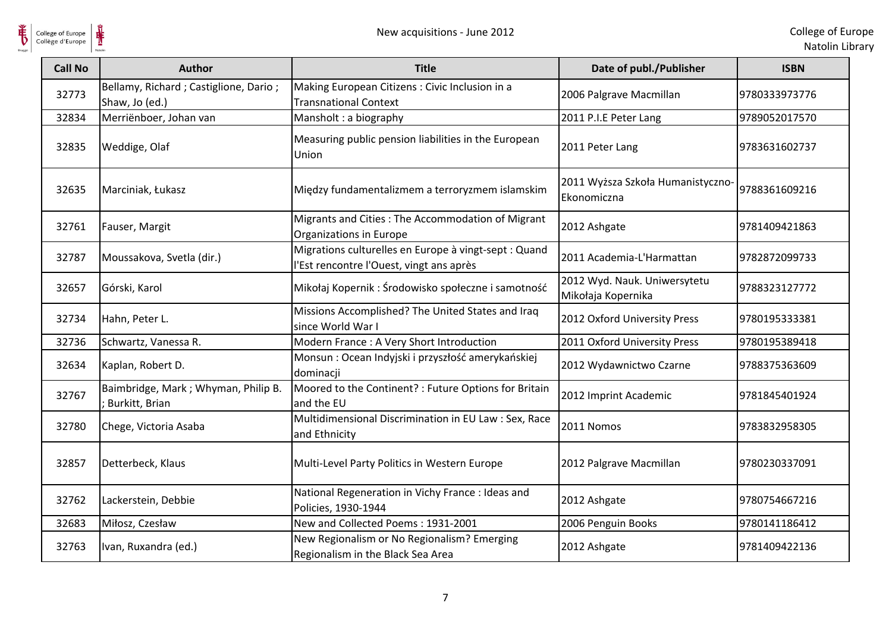

| <b>Call No</b> | <b>Author</b>                                           | <b>Title</b>                                                                                      | Date of publ./Publisher                            | <b>ISBN</b>   |
|----------------|---------------------------------------------------------|---------------------------------------------------------------------------------------------------|----------------------------------------------------|---------------|
| 32773          | Bellamy, Richard; Castiglione, Dario;<br>Shaw, Jo (ed.) | Making European Citizens : Civic Inclusion in a<br><b>Transnational Context</b>                   | 2006 Palgrave Macmillan                            | 9780333973776 |
| 32834          | Merriënboer, Johan van                                  | Mansholt: a biography                                                                             | 2011 P.I.E Peter Lang                              | 9789052017570 |
| 32835          | Weddige, Olaf                                           | Measuring public pension liabilities in the European<br>Union                                     | 2011 Peter Lang                                    | 9783631602737 |
| 32635          | Marciniak, Łukasz                                       | Między fundamentalizmem a terroryzmem islamskim                                                   | 2011 Wyższa Szkoła Humanistyczno-<br>Ekonomiczna   | 9788361609216 |
| 32761          | Fauser, Margit                                          | Migrants and Cities : The Accommodation of Migrant<br>Organizations in Europe                     | 2012 Ashgate                                       | 9781409421863 |
| 32787          | Moussakova, Svetla (dir.)                               | Migrations culturelles en Europe à vingt-sept : Quand<br>l'Est rencontre l'Ouest, vingt ans après | 2011 Academia-L'Harmattan                          | 9782872099733 |
| 32657          | Górski, Karol                                           | Mikołaj Kopernik: Środowisko społeczne i samotność                                                | 2012 Wyd. Nauk. Uniwersytetu<br>Mikołaja Kopernika | 9788323127772 |
| 32734          | Hahn, Peter L.                                          | Missions Accomplished? The United States and Iraq<br>since World War I                            | 2012 Oxford University Press                       | 9780195333381 |
| 32736          | Schwartz, Vanessa R.                                    | Modern France: A Very Short Introduction                                                          | 2011 Oxford University Press                       | 9780195389418 |
| 32634          | Kaplan, Robert D.                                       | Monsun : Ocean Indyjski i przyszłość amerykańskiej<br>dominacji                                   | 2012 Wydawnictwo Czarne                            | 9788375363609 |
| 32767          | Baimbridge, Mark; Whyman, Philip B.<br>; Burkitt, Brian | Moored to the Continent? : Future Options for Britain<br>and the EU                               | 2012 Imprint Academic                              | 9781845401924 |
| 32780          | Chege, Victoria Asaba                                   | Multidimensional Discrimination in EU Law : Sex, Race<br>and Ethnicity                            | 2011 Nomos                                         | 9783832958305 |
| 32857          | Detterbeck, Klaus                                       | Multi-Level Party Politics in Western Europe                                                      | 2012 Palgrave Macmillan                            | 9780230337091 |
| 32762          | Lackerstein, Debbie                                     | National Regeneration in Vichy France : Ideas and<br>Policies, 1930-1944                          | 2012 Ashgate                                       | 9780754667216 |
| 32683          | Miłosz, Czesław                                         | New and Collected Poems: 1931-2001                                                                | 2006 Penguin Books                                 | 9780141186412 |
| 32763          | Ivan, Ruxandra (ed.)                                    | New Regionalism or No Regionalism? Emerging<br>Regionalism in the Black Sea Area                  | 2012 Ashgate                                       | 9781409422136 |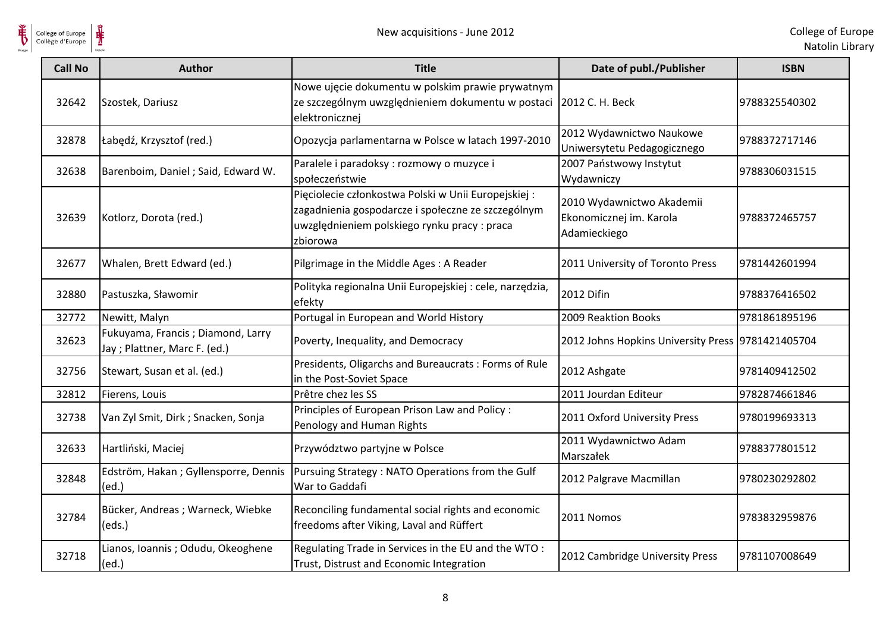

| <b>Call No</b> | <b>Author</b>                                                      | <b>Title</b>                                                                                                                                                          | Date of publ./Publisher                                              | <b>ISBN</b>   |
|----------------|--------------------------------------------------------------------|-----------------------------------------------------------------------------------------------------------------------------------------------------------------------|----------------------------------------------------------------------|---------------|
| 32642          | Szostek, Dariusz                                                   | Nowe ujęcie dokumentu w polskim prawie prywatnym<br>ze szczególnym uwzględnieniem dokumentu w postaci<br>elektronicznej                                               | 2012 C. H. Beck                                                      | 9788325540302 |
| 32878          | Łabędź, Krzysztof (red.)                                           | Opozycja parlamentarna w Polsce w latach 1997-2010                                                                                                                    | 2012 Wydawnictwo Naukowe<br>Uniwersytetu Pedagogicznego              | 9788372717146 |
| 32638          | Barenboim, Daniel; Said, Edward W.                                 | Paralele i paradoksy : rozmowy o muzyce i<br>społeczeństwie                                                                                                           | 2007 Państwowy Instytut<br>Wydawniczy                                | 9788306031515 |
| 32639          | Kotlorz, Dorota (red.)                                             | Pięciolecie członkostwa Polski w Unii Europejskiej:<br>zagadnienia gospodarcze i społeczne ze szczególnym<br>uwzględnieniem polskiego rynku pracy : praca<br>zbiorowa | 2010 Wydawnictwo Akademii<br>Ekonomicznej im. Karola<br>Adamieckiego | 9788372465757 |
| 32677          | Whalen, Brett Edward (ed.)                                         | Pilgrimage in the Middle Ages: A Reader                                                                                                                               | 2011 University of Toronto Press                                     | 9781442601994 |
| 32880          | Pastuszka, Sławomir                                                | Polityka regionalna Unii Europejskiej : cele, narzędzia,<br>efekty                                                                                                    | 2012 Difin                                                           | 9788376416502 |
| 32772          | Newitt, Malyn                                                      | Portugal in European and World History                                                                                                                                | 2009 Reaktion Books                                                  | 9781861895196 |
| 32623          | Fukuyama, Francis; Diamond, Larry<br>Jay ; Plattner, Marc F. (ed.) | Poverty, Inequality, and Democracy                                                                                                                                    | 2012 Johns Hopkins University Press   9781421405704                  |               |
| 32756          | Stewart, Susan et al. (ed.)                                        | Presidents, Oligarchs and Bureaucrats : Forms of Rule<br>in the Post-Soviet Space                                                                                     | 2012 Ashgate                                                         | 9781409412502 |
| 32812          | Fierens, Louis                                                     | Prêtre chez les SS                                                                                                                                                    | 2011 Jourdan Editeur                                                 | 9782874661846 |
| 32738          | Van Zyl Smit, Dirk ; Snacken, Sonja                                | Principles of European Prison Law and Policy:<br>Penology and Human Rights                                                                                            | 2011 Oxford University Press                                         | 9780199693313 |
| 32633          | Hartliński, Maciej                                                 | Przywództwo partyjne w Polsce                                                                                                                                         | 2011 Wydawnictwo Adam<br>Marszałek                                   | 9788377801512 |
| 32848          | Edström, Hakan; Gyllensporre, Dennis<br>(ed.)                      | Pursuing Strategy: NATO Operations from the Gulf<br>War to Gaddafi                                                                                                    | 2012 Palgrave Macmillan                                              | 9780230292802 |
| 32784          | Bücker, Andreas ; Warneck, Wiebke<br>(eds.)                        | Reconciling fundamental social rights and economic<br>freedoms after Viking, Laval and Rüffert                                                                        | 2011 Nomos                                                           | 9783832959876 |
| 32718          | Lianos, Ioannis; Odudu, Okeoghene<br>(ed.)                         | Regulating Trade in Services in the EU and the WTO:<br>Trust, Distrust and Economic Integration                                                                       | 2012 Cambridge University Press                                      | 9781107008649 |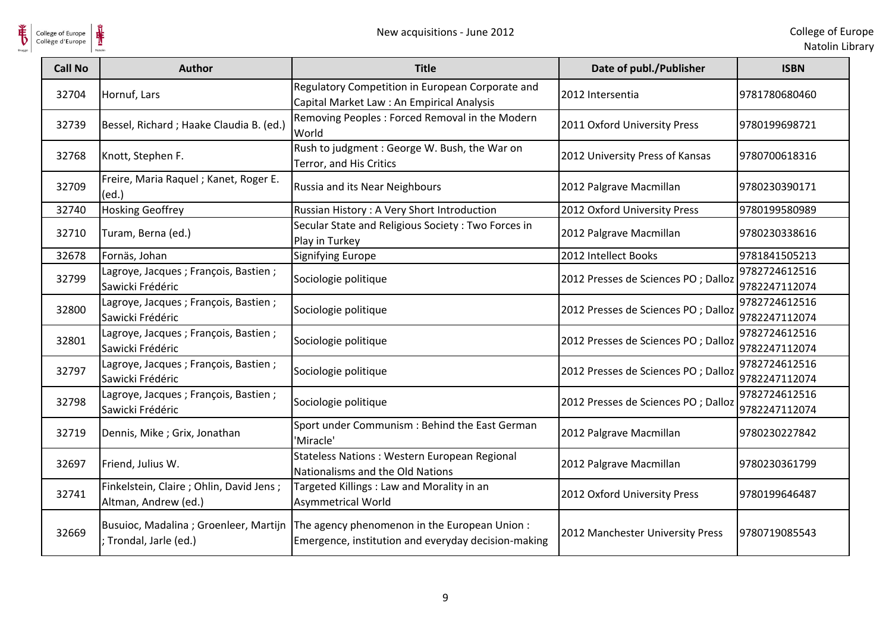

| <b>Call No</b> | <b>Author</b>                                                     | <b>Title</b>                                                                                                                                | Date of publ./Publisher              | <b>ISBN</b>                    |
|----------------|-------------------------------------------------------------------|---------------------------------------------------------------------------------------------------------------------------------------------|--------------------------------------|--------------------------------|
| 32704          | Hornuf, Lars                                                      | Regulatory Competition in European Corporate and<br>Capital Market Law: An Empirical Analysis                                               | 2012 Intersentia                     | 9781780680460                  |
| 32739          | Bessel, Richard ; Haake Claudia B. (ed.)                          | Removing Peoples: Forced Removal in the Modern<br>World                                                                                     | 2011 Oxford University Press         | 9780199698721                  |
| 32768          | Knott, Stephen F.                                                 | Rush to judgment: George W. Bush, the War on<br>Terror, and His Critics                                                                     | 2012 University Press of Kansas      | 9780700618316                  |
| 32709          | Freire, Maria Raquel; Kanet, Roger E.<br>(ed.)                    | Russia and its Near Neighbours                                                                                                              | 2012 Palgrave Macmillan              | 9780230390171                  |
| 32740          | <b>Hosking Geoffrey</b>                                           | Russian History: A Very Short Introduction                                                                                                  | 2012 Oxford University Press         | 9780199580989                  |
| 32710          | Turam, Berna (ed.)                                                | Secular State and Religious Society: Two Forces in<br>Play in Turkey                                                                        | 2012 Palgrave Macmillan              | 9780230338616                  |
| 32678          | Fornäs, Johan                                                     | <b>Signifying Europe</b>                                                                                                                    | 2012 Intellect Books                 | 9781841505213                  |
| 32799          | Lagroye, Jacques; François, Bastien;<br>Sawicki Frédéric          | Sociologie politique                                                                                                                        | 2012 Presses de Sciences PO ; Dalloz | 9782724612516<br>9782247112074 |
| 32800          | Lagroye, Jacques; François, Bastien;<br>Sawicki Frédéric          | Sociologie politique                                                                                                                        | 2012 Presses de Sciences PO ; Dalloz | 9782724612516<br>9782247112074 |
| 32801          | Lagroye, Jacques ; François, Bastien ;<br>Sawicki Frédéric        | Sociologie politique                                                                                                                        | 2012 Presses de Sciences PO ; Dalloz | 9782724612516<br>9782247112074 |
| 32797          | Lagroye, Jacques ; François, Bastien ;<br>Sawicki Frédéric        | Sociologie politique                                                                                                                        | 2012 Presses de Sciences PO ; Dalloz | 9782724612516<br>9782247112074 |
| 32798          | Lagroye, Jacques; François, Bastien;<br>Sawicki Frédéric          | Sociologie politique                                                                                                                        | 2012 Presses de Sciences PO ; Dalloz | 9782724612516<br>9782247112074 |
| 32719          | Dennis, Mike; Grix, Jonathan                                      | Sport under Communism : Behind the East German<br>'Miracle'                                                                                 | 2012 Palgrave Macmillan              | 9780230227842                  |
| 32697          | Friend, Julius W.                                                 | <b>Stateless Nations: Western European Regional</b><br>Nationalisms and the Old Nations                                                     | 2012 Palgrave Macmillan              | 9780230361799                  |
| 32741          | Finkelstein, Claire ; Ohlin, David Jens ;<br>Altman, Andrew (ed.) | Targeted Killings: Law and Morality in an<br><b>Asymmetrical World</b>                                                                      | 2012 Oxford University Press         | 9780199646487                  |
| 32669          | ; Trondal, Jarle (ed.)                                            | Busuioc, Madalina; Groenleer, Martijn   The agency phenomenon in the European Union:<br>Emergence, institution and everyday decision-making | 2012 Manchester University Press     | 9780719085543                  |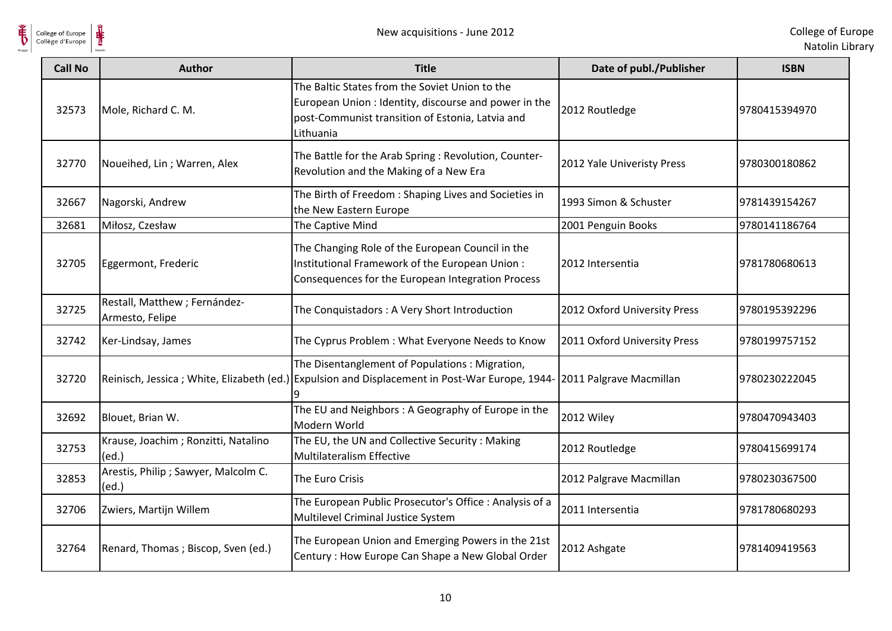

| <b>Call No</b> | <b>Author</b>                                    | <b>Title</b>                                                                                                                                                             | Date of publ./Publisher      | <b>ISBN</b>   |
|----------------|--------------------------------------------------|--------------------------------------------------------------------------------------------------------------------------------------------------------------------------|------------------------------|---------------|
| 32573          | Mole, Richard C. M.                              | The Baltic States from the Soviet Union to the<br>European Union : Identity, discourse and power in the<br>post-Communist transition of Estonia, Latvia and<br>Lithuania | 2012 Routledge               | 9780415394970 |
| 32770          | Noueihed, Lin; Warren, Alex                      | The Battle for the Arab Spring : Revolution, Counter-<br>Revolution and the Making of a New Era                                                                          | 2012 Yale Univeristy Press   | 9780300180862 |
| 32667          | Nagorski, Andrew                                 | The Birth of Freedom : Shaping Lives and Societies in<br>the New Eastern Europe                                                                                          | 1993 Simon & Schuster        | 9781439154267 |
| 32681          | Miłosz, Czesław                                  | The Captive Mind                                                                                                                                                         | 2001 Penguin Books           | 9780141186764 |
| 32705          | Eggermont, Frederic                              | The Changing Role of the European Council in the<br>Institutional Framework of the European Union:<br>Consequences for the European Integration Process                  | 2012 Intersentia             | 9781780680613 |
| 32725          | Restall, Matthew ; Fernández-<br>Armesto, Felipe | The Conquistadors: A Very Short Introduction                                                                                                                             | 2012 Oxford University Press | 9780195392296 |
| 32742          | Ker-Lindsay, James                               | The Cyprus Problem: What Everyone Needs to Know                                                                                                                          | 2011 Oxford University Press | 9780199757152 |
| 32720          |                                                  | The Disentanglement of Populations: Migration,<br>Reinisch, Jessica; White, Elizabeth (ed.) Expulsion and Displacement in Post-War Europe, 1944                          | 2011 Palgrave Macmillan      | 9780230222045 |
| 32692          | Blouet, Brian W.                                 | The EU and Neighbors: A Geography of Europe in the<br>Modern World                                                                                                       | 2012 Wiley                   | 9780470943403 |
| 32753          | Krause, Joachim; Ronzitti, Natalino<br>(ed.)     | The EU, the UN and Collective Security : Making<br>Multilateralism Effective                                                                                             | 2012 Routledge               | 9780415699174 |
| 32853          | Arestis, Philip ; Sawyer, Malcolm C.<br>(ed.)    | The Euro Crisis                                                                                                                                                          | 2012 Palgrave Macmillan      | 9780230367500 |
| 32706          | Zwiers, Martijn Willem                           | The European Public Prosecutor's Office : Analysis of a<br>Multilevel Criminal Justice System                                                                            | 2011 Intersentia             | 9781780680293 |
| 32764          | Renard, Thomas; Biscop, Sven (ed.)               | The European Union and Emerging Powers in the 21st<br>Century: How Europe Can Shape a New Global Order                                                                   | 2012 Ashgate                 | 9781409419563 |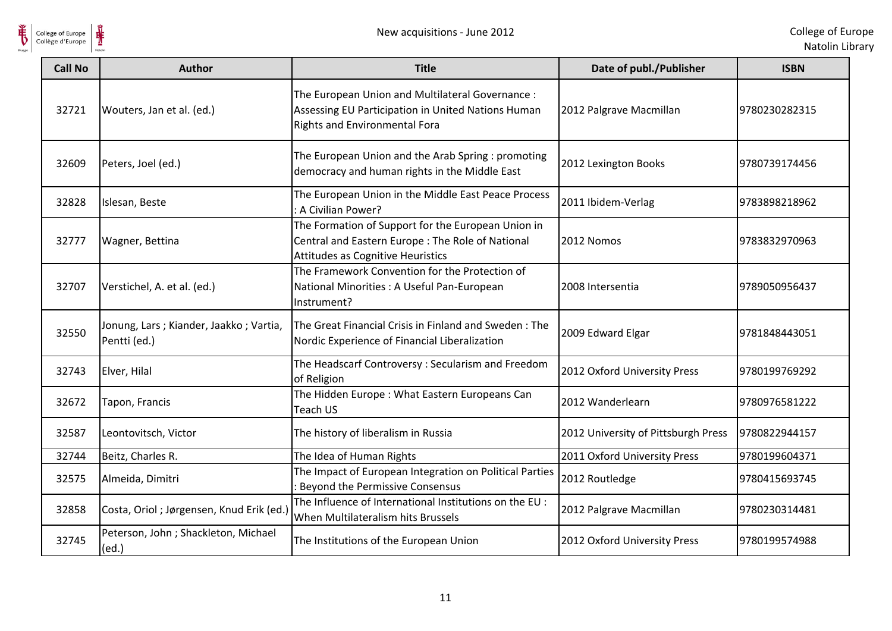

| <b>Call No</b> | <b>Author</b>                                          | <b>Title</b>                                                                                                                                 | Date of publ./Publisher             | <b>ISBN</b>   |
|----------------|--------------------------------------------------------|----------------------------------------------------------------------------------------------------------------------------------------------|-------------------------------------|---------------|
| 32721          | Wouters, Jan et al. (ed.)                              | The European Union and Multilateral Governance :<br>Assessing EU Participation in United Nations Human<br>Rights and Environmental Fora      | 2012 Palgrave Macmillan             | 9780230282315 |
| 32609          | Peters, Joel (ed.)                                     | The European Union and the Arab Spring : promoting<br>democracy and human rights in the Middle East                                          | 2012 Lexington Books                | 9780739174456 |
| 32828          | Islesan, Beste                                         | The European Union in the Middle East Peace Process<br>: A Civilian Power?                                                                   | 2011 Ibidem-Verlag                  | 9783898218962 |
| 32777          | Wagner, Bettina                                        | The Formation of Support for the European Union in<br>Central and Eastern Europe : The Role of National<br>Attitudes as Cognitive Heuristics | 2012 Nomos                          | 9783832970963 |
| 32707          | Verstichel, A. et al. (ed.)                            | The Framework Convention for the Protection of<br>National Minorities : A Useful Pan-European<br>Instrument?                                 | 2008 Intersentia                    | 9789050956437 |
| 32550          | Jonung, Lars; Kiander, Jaakko; Vartia,<br>Pentti (ed.) | The Great Financial Crisis in Finland and Sweden: The<br>Nordic Experience of Financial Liberalization                                       | 2009 Edward Elgar                   | 9781848443051 |
| 32743          | Elver, Hilal                                           | The Headscarf Controversy: Secularism and Freedom<br>of Religion                                                                             | 2012 Oxford University Press        | 9780199769292 |
| 32672          | Tapon, Francis                                         | The Hidden Europe: What Eastern Europeans Can<br>Teach US                                                                                    | 2012 Wanderlearn                    | 9780976581222 |
| 32587          | Leontovitsch, Victor                                   | The history of liberalism in Russia                                                                                                          | 2012 University of Pittsburgh Press | 9780822944157 |
| 32744          | Beitz, Charles R.                                      | The Idea of Human Rights                                                                                                                     | 2011 Oxford University Press        | 9780199604371 |
| 32575          | Almeida, Dimitri                                       | The Impact of European Integration on Political Parties<br>Beyond the Permissive Consensus                                                   | 2012 Routledge                      | 9780415693745 |
| 32858          | Costa, Oriol ; Jørgensen, Knud Erik (ed.)              | The Influence of International Institutions on the EU :<br>When Multilateralism hits Brussels                                                | 2012 Palgrave Macmillan             | 9780230314481 |
| 32745          | Peterson, John; Shackleton, Michael<br>(ed.)           | The Institutions of the European Union                                                                                                       | 2012 Oxford University Press        | 9780199574988 |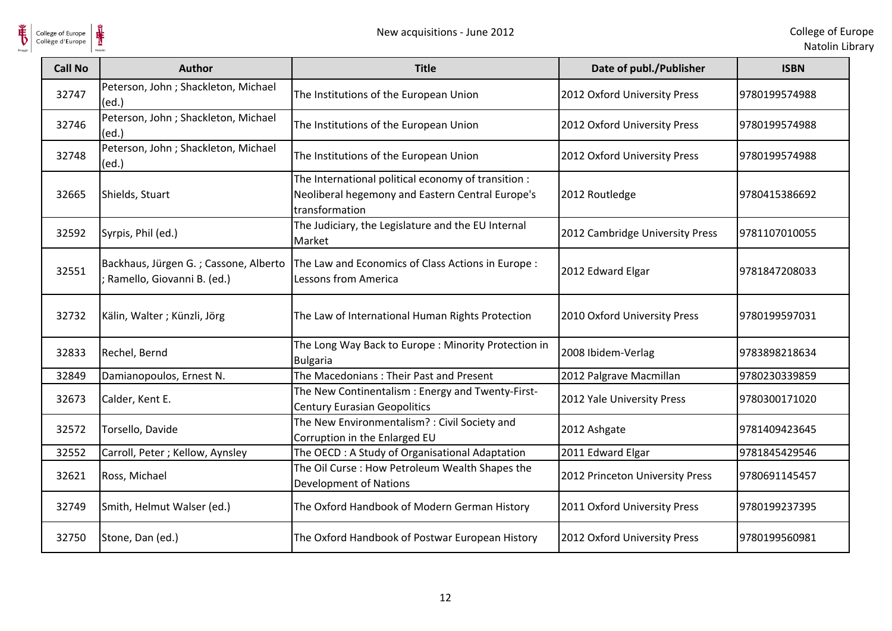

| <b>Call No</b> | <b>Author</b>                                                       | <b>Title</b>                                                                                                              | Date of publ./Publisher         | <b>ISBN</b>   |
|----------------|---------------------------------------------------------------------|---------------------------------------------------------------------------------------------------------------------------|---------------------------------|---------------|
| 32747          | Peterson, John ; Shackleton, Michael<br>(ed.)                       | The Institutions of the European Union                                                                                    | 2012 Oxford University Press    | 9780199574988 |
| 32746          | Peterson, John ; Shackleton, Michael<br>(ed.)                       | The Institutions of the European Union                                                                                    | 2012 Oxford University Press    | 9780199574988 |
| 32748          | Peterson, John ; Shackleton, Michael<br>(ed.)                       | The Institutions of the European Union                                                                                    | 2012 Oxford University Press    | 9780199574988 |
| 32665          | Shields, Stuart                                                     | The International political economy of transition :<br>Neoliberal hegemony and Eastern Central Europe's<br>transformation | 2012 Routledge                  | 9780415386692 |
| 32592          | Syrpis, Phil (ed.)                                                  | The Judiciary, the Legislature and the EU Internal<br>Market                                                              | 2012 Cambridge University Press | 9781107010055 |
| 32551          | Backhaus, Jürgen G.; Cassone, Alberto<br>Ramello, Giovanni B. (ed.) | The Law and Economics of Class Actions in Europe :<br><b>Lessons from America</b>                                         | 2012 Edward Elgar               | 9781847208033 |
| 32732          | Kälin, Walter; Künzli, Jörg                                         | The Law of International Human Rights Protection                                                                          | 2010 Oxford University Press    | 9780199597031 |
| 32833          | Rechel, Bernd                                                       | The Long Way Back to Europe: Minority Protection in<br><b>Bulgaria</b>                                                    | 2008 Ibidem-Verlag              | 9783898218634 |
| 32849          | Damianopoulos, Ernest N.                                            | The Macedonians: Their Past and Present                                                                                   | 2012 Palgrave Macmillan         | 9780230339859 |
| 32673          | Calder, Kent E.                                                     | The New Continentalism: Energy and Twenty-First-<br><b>Century Eurasian Geopolitics</b>                                   | 2012 Yale University Press      | 9780300171020 |
| 32572          | Torsello, Davide                                                    | The New Environmentalism? : Civil Society and<br>Corruption in the Enlarged EU                                            | 2012 Ashgate                    | 9781409423645 |
| 32552          | Carroll, Peter ; Kellow, Aynsley                                    | The OECD: A Study of Organisational Adaptation                                                                            | 2011 Edward Elgar               | 9781845429546 |
| 32621          | Ross, Michael                                                       | The Oil Curse: How Petroleum Wealth Shapes the<br>Development of Nations                                                  | 2012 Princeton University Press | 9780691145457 |
| 32749          | Smith, Helmut Walser (ed.)                                          | The Oxford Handbook of Modern German History                                                                              | 2011 Oxford University Press    | 9780199237395 |
| 32750          | Stone, Dan (ed.)                                                    | The Oxford Handbook of Postwar European History                                                                           | 2012 Oxford University Press    | 9780199560981 |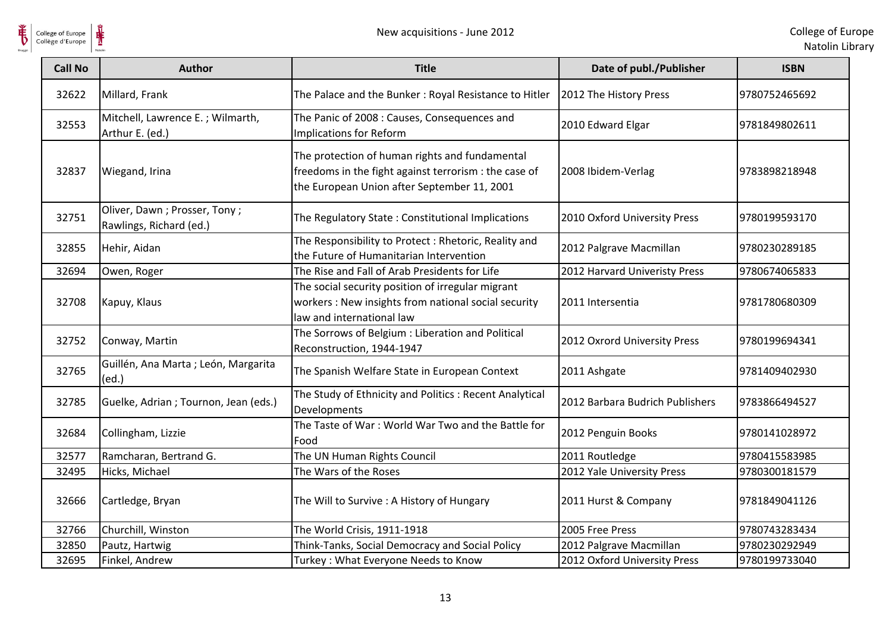

| <b>Call No</b> | <b>Author</b>                                           | <b>Title</b>                                                                                                                                           | Date of publ./Publisher         | <b>ISBN</b>   |
|----------------|---------------------------------------------------------|--------------------------------------------------------------------------------------------------------------------------------------------------------|---------------------------------|---------------|
| 32622          | Millard, Frank                                          | The Palace and the Bunker: Royal Resistance to Hitler                                                                                                  | 2012 The History Press          | 9780752465692 |
| 32553          | Mitchell, Lawrence E.; Wilmarth,<br>Arthur E. (ed.)     | The Panic of 2008 : Causes, Consequences and<br>Implications for Reform                                                                                | 2010 Edward Elgar               | 9781849802611 |
| 32837          | Wiegand, Irina                                          | The protection of human rights and fundamental<br>freedoms in the fight against terrorism : the case of<br>the European Union after September 11, 2001 | 2008 Ibidem-Verlag              | 9783898218948 |
| 32751          | Oliver, Dawn; Prosser, Tony;<br>Rawlings, Richard (ed.) | The Regulatory State: Constitutional Implications                                                                                                      | 2010 Oxford University Press    | 9780199593170 |
| 32855          | Hehir, Aidan                                            | The Responsibility to Protect: Rhetoric, Reality and<br>the Future of Humanitarian Intervention                                                        | 2012 Palgrave Macmillan         | 9780230289185 |
| 32694          | Owen, Roger                                             | The Rise and Fall of Arab Presidents for Life                                                                                                          | 2012 Harvard Univeristy Press   | 9780674065833 |
| 32708          | Kapuy, Klaus                                            | The social security position of irregular migrant<br>workers : New insights from national social security<br>law and international law                 | 2011 Intersentia                | 9781780680309 |
| 32752          | Conway, Martin                                          | The Sorrows of Belgium : Liberation and Political<br>Reconstruction, 1944-1947                                                                         | 2012 Oxrord University Press    | 9780199694341 |
| 32765          | Guillén, Ana Marta ; León, Margarita<br>(ed.)           | The Spanish Welfare State in European Context                                                                                                          | 2011 Ashgate                    | 9781409402930 |
| 32785          | Guelke, Adrian; Tournon, Jean (eds.)                    | The Study of Ethnicity and Politics : Recent Analytical<br>Developments                                                                                | 2012 Barbara Budrich Publishers | 9783866494527 |
| 32684          | Collingham, Lizzie                                      | The Taste of War: World War Two and the Battle for<br>Food                                                                                             | 2012 Penguin Books              | 9780141028972 |
| 32577          | Ramcharan, Bertrand G.                                  | The UN Human Rights Council                                                                                                                            | 2011 Routledge                  | 9780415583985 |
| 32495          | Hicks, Michael                                          | The Wars of the Roses                                                                                                                                  | 2012 Yale University Press      | 9780300181579 |
| 32666          | Cartledge, Bryan                                        | The Will to Survive : A History of Hungary                                                                                                             | 2011 Hurst & Company            | 9781849041126 |
| 32766          | Churchill, Winston                                      | The World Crisis, 1911-1918                                                                                                                            | 2005 Free Press                 | 9780743283434 |
| 32850          | Pautz, Hartwig                                          | Think-Tanks, Social Democracy and Social Policy                                                                                                        | 2012 Palgrave Macmillan         | 9780230292949 |
| 32695          | Finkel, Andrew                                          | Turkey: What Everyone Needs to Know                                                                                                                    | 2012 Oxford University Press    | 9780199733040 |